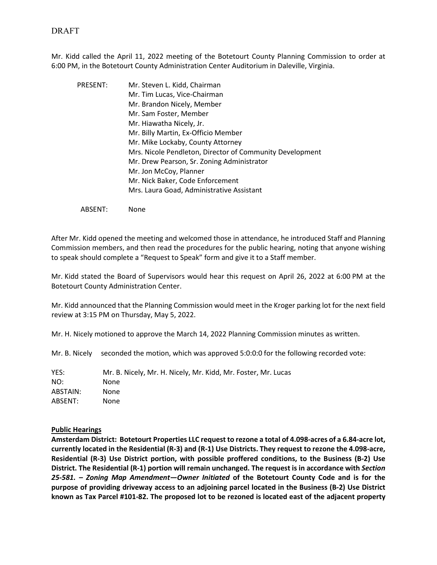Mr. Kidd called the April 11, 2022 meeting of the Botetourt County Planning Commission to order at 6:00 PM, in the Botetourt County Administration Center Auditorium in Daleville, Virginia.

PRESENT: Mr. Steven L. Kidd, Chairman Mr. Tim Lucas, Vice-Chairman Mr. Brandon Nicely, Member Mr. Sam Foster, Member Mr. Hiawatha Nicely, Jr. Mr. Billy Martin, Ex-Officio Member Mr. Mike Lockaby, County Attorney Mrs. Nicole Pendleton, Director of Community Development Mr. Drew Pearson, Sr. Zoning Administrator Mr. Jon McCoy, Planner Mr. Nick Baker, Code Enforcement Mrs. Laura Goad, Administrative Assistant

ABSENT: None

After Mr. Kidd opened the meeting and welcomed those in attendance, he introduced Staff and Planning Commission members, and then read the procedures for the public hearing, noting that anyone wishing to speak should complete a "Request to Speak" form and give it to a Staff member.

Mr. Kidd stated the Board of Supervisors would hear this request on April 26, 2022 at 6:00 PM at the Botetourt County Administration Center.

Mr. Kidd announced that the Planning Commission would meet in the Kroger parking lot for the next field review at 3:15 PM on Thursday, May 5, 2022.

Mr. H. Nicely motioned to approve the March 14, 2022 Planning Commission minutes as written.

Mr. B. Nicely seconded the motion, which was approved 5:0:0:0 for the following recorded vote:

YES: Mr. B. Nicely, Mr. H. Nicely, Mr. Kidd, Mr. Foster, Mr. Lucas NO: None ABSTAIN: None ABSENT: None

#### **Public Hearings**

**Amsterdam District: Botetourt Properties LLC request to rezone a total of 4.098-acres of a 6.84-acre lot, currently located in the Residential (R-3) and (R-1) Use Districts. They request to rezone the 4.098-acre, Residential (R-3) Use District portion, with possible proffered conditions, to the Business (B-2) Use District. The Residential (R-1) portion will remain unchanged. The request is in accordance with** *Section 25-581. – Zoning Map Amendment—Owner Initiated* **of the Botetourt County Code and is for the purpose of providing driveway access to an adjoining parcel located in the Business (B-2) Use District known as Tax Parcel #101-82. The proposed lot to be rezoned is located east of the adjacent property**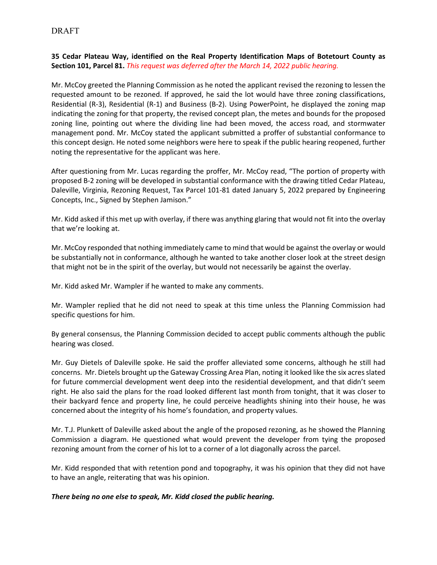# DRAFT

**35 Cedar Plateau Way, identified on the Real Property Identification Maps of Botetourt County as Section 101, Parcel 81.** *This request was deferred after the March 14, 2022 public hearing.*

Mr. McCoy greeted the Planning Commission as he noted the applicant revised the rezoning to lessen the requested amount to be rezoned. If approved, he said the lot would have three zoning classifications, Residential (R-3), Residential (R-1) and Business (B-2). Using PowerPoint, he displayed the zoning map indicating the zoning for that property, the revised concept plan, the metes and bounds for the proposed zoning line, pointing out where the dividing line had been moved, the access road, and stormwater management pond. Mr. McCoy stated the applicant submitted a proffer of substantial conformance to this concept design. He noted some neighbors were here to speak if the public hearing reopened, further noting the representative for the applicant was here.

After questioning from Mr. Lucas regarding the proffer, Mr. McCoy read, "The portion of property with proposed B-2 zoning will be developed in substantial conformance with the drawing titled Cedar Plateau, Daleville, Virginia, Rezoning Request, Tax Parcel 101-81 dated January 5, 2022 prepared by Engineering Concepts, Inc., Signed by Stephen Jamison."

Mr. Kidd asked if this met up with overlay, if there was anything glaring that would not fit into the overlay that we're looking at.

Mr. McCoy responded that nothing immediately came to mind that would be against the overlay or would be substantially not in conformance, although he wanted to take another closer look at the street design that might not be in the spirit of the overlay, but would not necessarily be against the overlay.

Mr. Kidd asked Mr. Wampler if he wanted to make any comments.

Mr. Wampler replied that he did not need to speak at this time unless the Planning Commission had specific questions for him.

By general consensus, the Planning Commission decided to accept public comments although the public hearing was closed.

Mr. Guy Dietels of Daleville spoke. He said the proffer alleviated some concerns, although he still had concerns. Mr. Dietels brought up the Gateway Crossing Area Plan, noting it looked like the six acresslated for future commercial development went deep into the residential development, and that didn't seem right. He also said the plans for the road looked different last month from tonight, that it was closer to their backyard fence and property line, he could perceive headlights shining into their house, he was concerned about the integrity of his home's foundation, and property values.

Mr. T.J. Plunkett of Daleville asked about the angle of the proposed rezoning, as he showed the Planning Commission a diagram. He questioned what would prevent the developer from tying the proposed rezoning amount from the corner of his lot to a corner of a lot diagonally across the parcel.

Mr. Kidd responded that with retention pond and topography, it was his opinion that they did not have to have an angle, reiterating that was his opinion.

## *There being no one else to speak, Mr. Kidd closed the public hearing.*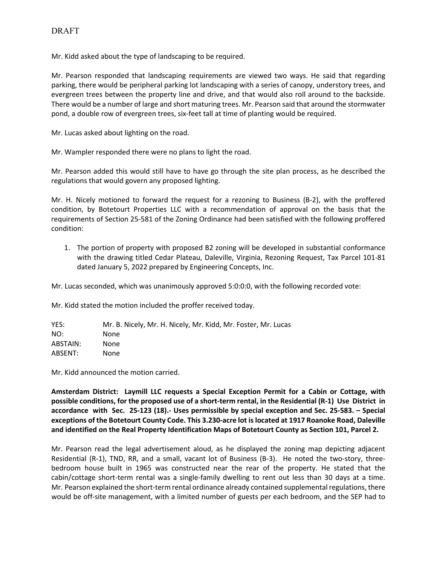Mr. Kidd asked about the type of landscaping to be required.

Mr. Pearson responded that landscaping requirements are viewed two ways. He said that regarding parking, there would be peripheral parking lot landscaping with a series of canopy, understory trees, and evergreen trees between the property line and drive, and that would also roll around to the backside. There would be a number of large and short maturing trees. Mr. Pearson said that around the stormwater pond, a double row of evergreen trees, six-feet tall at time of planting would be required.

Mr. Lucas asked about lighting on the road.

Mr. Wampler responded there were no plans to light the road.

Mr. Pearson added this would still have to have go through the site plan process, as he described the regulations that would govern any proposed lighting.

Mr. H. Nicely motioned to forward the request for a rezoning to Business (B-2), with the proffered condition, by Botetourt Properties LLC with a recommendation of approval on the basis that the requirements of Section 25-581 of the Zoning Ordinance had been satisfied with the following proffered condition:

1. The portion of property with proposed B2 zoning will be developed in substantial conformance with the drawing titled Cedar Plateau, Daleville, Virginia, Rezoning Request, Tax Parcel 101-81 dated January 5, 2022 prepared by Engineering Concepts, Inc.

Mr. Lucas seconded, which was unanimously approved 5:0:0:0, with the following recorded vote:

Mr. Kidd stated the motion included the proffer received today.

| YES:     | Mr. B. Nicely, Mr. H. Nicely, Mr. Kidd, Mr. Foster, Mr. Lucas |
|----------|---------------------------------------------------------------|
| NO:      | None                                                          |
| ABSTAIN: | None                                                          |
| ABSENT:  | None                                                          |

Mr. Kidd announced the motion carried.

**Amsterdam District: Laymill LLC requests a Special Exception Permit for a Cabin or Cottage, with possible conditions, for the proposed use of a short-term rental, in the Residential (R-1) Use District in accordance with Sec. 25-123 (18).- Uses permissible by special exception and Sec. 25-583. – Special exceptions of the Botetourt County Code. This 3.230-acre lot is located at 1917 Roanoke Road, Daleville and identified on the Real Property Identification Maps of Botetourt County as Section 101, Parcel 2.**

Mr. Pearson read the legal advertisement aloud, as he displayed the zoning map depicting adjacent Residential (R-1), TND, RR, and a small, vacant lot of Business (B-3). He noted the two-story, threebedroom house built in 1965 was constructed near the rear of the property. He stated that the cabin/cottage short-term rental was a single-family dwelling to rent out less than 30 days at a time. Mr. Pearson explained the short-term rental ordinance already contained supplemental regulations, there would be off-site management, with a limited number of guests per each bedroom, and the SEP had to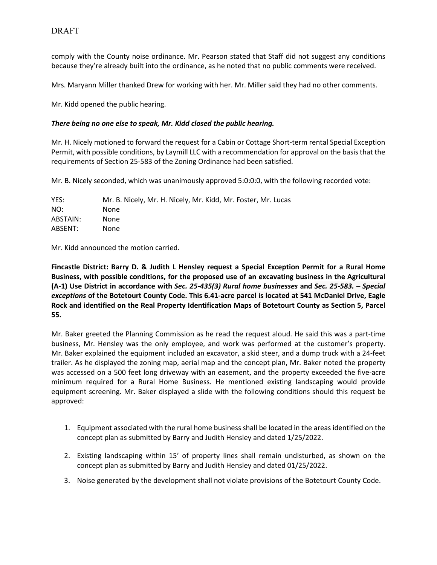comply with the County noise ordinance. Mr. Pearson stated that Staff did not suggest any conditions because they're already built into the ordinance, as he noted that no public comments were received.

Mrs. Maryann Miller thanked Drew for working with her. Mr. Miller said they had no other comments.

Mr. Kidd opened the public hearing.

### *There being no one else to speak, Mr. Kidd closed the public hearing.*

Mr. H. Nicely motioned to forward the request for a Cabin or Cottage Short-term rental Special Exception Permit, with possible conditions, by Laymill LLC with a recommendation for approval on the basis that the requirements of Section 25-583 of the Zoning Ordinance had been satisfied.

Mr. B. Nicely seconded, which was unanimously approved 5:0:0:0, with the following recorded vote:

| YES:     | Mr. B. Nicely, Mr. H. Nicely, Mr. Kidd, Mr. Foster, Mr. Lucas |
|----------|---------------------------------------------------------------|
| NO:      | None                                                          |
| ABSTAIN: | None.                                                         |
| ABSENT:  | None.                                                         |

Mr. Kidd announced the motion carried.

**Fincastle District: Barry D. & Judith L Hensley request a Special Exception Permit for a Rural Home Business, with possible conditions, for the proposed use of an excavating business in the Agricultural (A-1) Use District in accordance with** *Sec. 25-435(3) Rural home businesses* **and** *Sec. 25-583. – Special exceptions* **of the Botetourt County Code. This 6.41-acre parcel is located at 541 McDaniel Drive, Eagle Rock and identified on the Real Property Identification Maps of Botetourt County as Section 5, Parcel 55.** 

Mr. Baker greeted the Planning Commission as he read the request aloud. He said this was a part-time business, Mr. Hensley was the only employee, and work was performed at the customer's property. Mr. Baker explained the equipment included an excavator, a skid steer, and a dump truck with a 24-feet trailer. As he displayed the zoning map, aerial map and the concept plan, Mr. Baker noted the property was accessed on a 500 feet long driveway with an easement, and the property exceeded the five-acre minimum required for a Rural Home Business. He mentioned existing landscaping would provide equipment screening. Mr. Baker displayed a slide with the following conditions should this request be approved:

- 1. Equipment associated with the rural home business shall be located in the areas identified on the concept plan as submitted by Barry and Judith Hensley and dated 1/25/2022.
- 2. Existing landscaping within 15' of property lines shall remain undisturbed, as shown on the concept plan as submitted by Barry and Judith Hensley and dated 01/25/2022.
- 3. Noise generated by the development shall not violate provisions of the Botetourt County Code.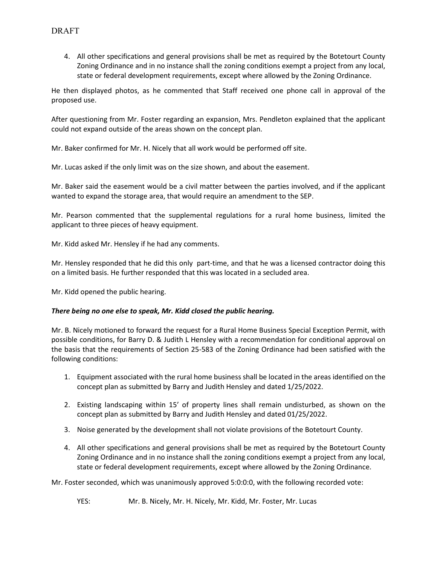4. All other specifications and general provisions shall be met as required by the Botetourt County Zoning Ordinance and in no instance shall the zoning conditions exempt a project from any local, state or federal development requirements, except where allowed by the Zoning Ordinance.

He then displayed photos, as he commented that Staff received one phone call in approval of the proposed use.

After questioning from Mr. Foster regarding an expansion, Mrs. Pendleton explained that the applicant could not expand outside of the areas shown on the concept plan.

Mr. Baker confirmed for Mr. H. Nicely that all work would be performed off site.

Mr. Lucas asked if the only limit was on the size shown, and about the easement.

Mr. Baker said the easement would be a civil matter between the parties involved, and if the applicant wanted to expand the storage area, that would require an amendment to the SEP.

Mr. Pearson commented that the supplemental regulations for a rural home business, limited the applicant to three pieces of heavy equipment.

Mr. Kidd asked Mr. Hensley if he had any comments.

Mr. Hensley responded that he did this only part-time, and that he was a licensed contractor doing this on a limited basis. He further responded that this was located in a secluded area.

Mr. Kidd opened the public hearing.

#### *There being no one else to speak, Mr. Kidd closed the public hearing.*

Mr. B. Nicely motioned to forward the request for a Rural Home Business Special Exception Permit, with possible conditions, for Barry D. & Judith L Hensley with a recommendation for conditional approval on the basis that the requirements of Section 25-583 of the Zoning Ordinance had been satisfied with the following conditions:

- 1. Equipment associated with the rural home business shall be located in the areas identified on the concept plan as submitted by Barry and Judith Hensley and dated 1/25/2022.
- 2. Existing landscaping within 15' of property lines shall remain undisturbed, as shown on the concept plan as submitted by Barry and Judith Hensley and dated 01/25/2022.
- 3. Noise generated by the development shall not violate provisions of the Botetourt County.
- 4. All other specifications and general provisions shall be met as required by the Botetourt County Zoning Ordinance and in no instance shall the zoning conditions exempt a project from any local, state or federal development requirements, except where allowed by the Zoning Ordinance.

Mr. Foster seconded, which was unanimously approved 5:0:0:0, with the following recorded vote:

YES: Mr. B. Nicely, Mr. H. Nicely, Mr. Kidd, Mr. Foster, Mr. Lucas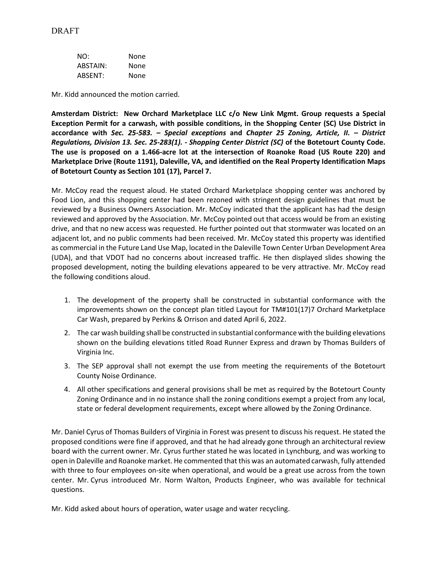| NO:      | None |
|----------|------|
| ABSTAIN: | None |
| ABSENT:  | None |

Mr. Kidd announced the motion carried.

**Amsterdam District: New Orchard Marketplace LLC c/o New Link Mgmt. Group requests a Special Exception Permit for a carwash, with possible conditions, in the Shopping Center (SC) Use District in accordance with** *Sec. 25-583. – Special exceptions* **and** *Chapter 25 Zoning, Article, II. – District Regulations, Division 13. Sec. 25-283(1). - Shopping Center District (SC)* **of the Botetourt County Code. The use is proposed on a 1.466-acre lot at the intersection of Roanoke Road (US Route 220) and Marketplace Drive (Route 1191), Daleville, VA, and identified on the Real Property Identification Maps of Botetourt County as Section 101 (17), Parcel 7.**

Mr. McCoy read the request aloud. He stated Orchard Marketplace shopping center was anchored by Food Lion, and this shopping center had been rezoned with stringent design guidelines that must be reviewed by a Business Owners Association. Mr. McCoy indicated that the applicant has had the design reviewed and approved by the Association. Mr. McCoy pointed out that access would be from an existing drive, and that no new access was requested. He further pointed out that stormwater was located on an adjacent lot, and no public comments had been received. Mr. McCoy stated this property was identified as commercial in the Future Land Use Map, located in the Daleville Town Center Urban Development Area (UDA), and that VDOT had no concerns about increased traffic. He then displayed slides showing the proposed development, noting the building elevations appeared to be very attractive. Mr. McCoy read the following conditions aloud.

- 1. The development of the property shall be constructed in substantial conformance with the improvements shown on the concept plan titled Layout for TM#101(17)7 Orchard Marketplace Car Wash, prepared by Perkins & Orrison and dated April 6, 2022.
- 2. The car wash building shall be constructed in substantial conformance with the building elevations shown on the building elevations titled Road Runner Express and drawn by Thomas Builders of Virginia Inc.
- 3. The SEP approval shall not exempt the use from meeting the requirements of the Botetourt County Noise Ordinance.
- 4. All other specifications and general provisions shall be met as required by the Botetourt County Zoning Ordinance and in no instance shall the zoning conditions exempt a project from any local, state or federal development requirements, except where allowed by the Zoning Ordinance.

Mr. Daniel Cyrus of Thomas Builders of Virginia in Forest was present to discuss his request. He stated the proposed conditions were fine if approved, and that he had already gone through an architectural review board with the current owner. Mr. Cyrus further stated he was located in Lynchburg, and was working to open in Daleville and Roanoke market. He commented that this was an automated carwash, fully attended with three to four employees on-site when operational, and would be a great use across from the town center. Mr. Cyrus introduced Mr. Norm Walton, Products Engineer, who was available for technical questions.

Mr. Kidd asked about hours of operation, water usage and water recycling.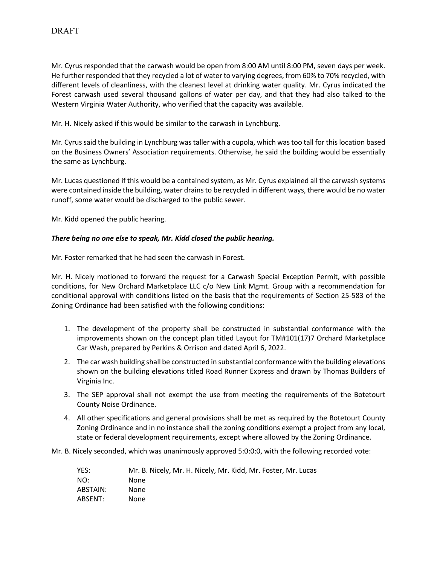Mr. Cyrus responded that the carwash would be open from 8:00 AM until 8:00 PM, seven days per week. He further responded that they recycled a lot of water to varying degrees, from 60% to 70% recycled, with different levels of cleanliness, with the cleanest level at drinking water quality. Mr. Cyrus indicated the Forest carwash used several thousand gallons of water per day, and that they had also talked to the Western Virginia Water Authority, who verified that the capacity was available.

Mr. H. Nicely asked if this would be similar to the carwash in Lynchburg.

Mr. Cyrus said the building in Lynchburg was taller with a cupola, which wastoo tall for this location based on the Business Owners' Association requirements. Otherwise, he said the building would be essentially the same as Lynchburg.

Mr. Lucas questioned if this would be a contained system, as Mr. Cyrus explained all the carwash systems were contained inside the building, water drains to be recycled in different ways, there would be no water runoff, some water would be discharged to the public sewer.

Mr. Kidd opened the public hearing.

## *There being no one else to speak, Mr. Kidd closed the public hearing.*

Mr. Foster remarked that he had seen the carwash in Forest.

Mr. H. Nicely motioned to forward the request for a Carwash Special Exception Permit, with possible conditions, for New Orchard Marketplace LLC c/o New Link Mgmt. Group with a recommendation for conditional approval with conditions listed on the basis that the requirements of Section 25-583 of the Zoning Ordinance had been satisfied with the following conditions:

- 1. The development of the property shall be constructed in substantial conformance with the improvements shown on the concept plan titled Layout for TM#101(17)7 Orchard Marketplace Car Wash, prepared by Perkins & Orrison and dated April 6, 2022.
- 2. The car wash building shall be constructed in substantial conformance with the building elevations shown on the building elevations titled Road Runner Express and drawn by Thomas Builders of Virginia Inc.
- 3. The SEP approval shall not exempt the use from meeting the requirements of the Botetourt County Noise Ordinance.
- 4. All other specifications and general provisions shall be met as required by the Botetourt County Zoning Ordinance and in no instance shall the zoning conditions exempt a project from any local, state or federal development requirements, except where allowed by the Zoning Ordinance.

Mr. B. Nicely seconded, which was unanimously approved 5:0:0:0, with the following recorded vote:

| YES:     | Mr. B. Nicely, Mr. H. Nicely, Mr. Kidd, Mr. Foster, Mr. Lucas |
|----------|---------------------------------------------------------------|
| NO:      | None                                                          |
| ABSTAIN: | None                                                          |
| ABSENT:  | None                                                          |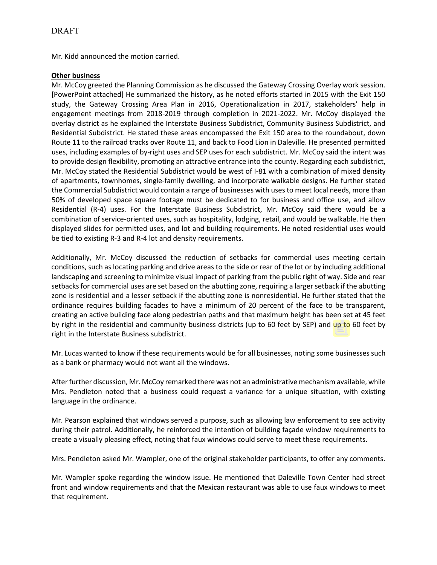Mr. Kidd announced the motion carried.

## **Other business**

Mr. McCoy greeted the Planning Commission as he discussed the Gateway Crossing Overlay work session. [PowerPoint attached] He summarized the history, as he noted efforts started in 2015 with the Exit 150 study, the Gateway Crossing Area Plan in 2016, Operationalization in 2017, stakeholders' help in engagement meetings from 2018-2019 through completion in 2021-2022. Mr. McCoy displayed the overlay district as he explained the Interstate Business Subdistrict, Community Business Subdistrict, and Residential Subdistrict. He stated these areas encompassed the Exit 150 area to the roundabout, down Route 11 to the railroad tracks over Route 11, and back to Food Lion in Daleville. He presented permitted uses, including examples of by-right uses and SEP uses for each subdistrict. Mr. McCoy said the intent was to provide design flexibility, promoting an attractive entrance into the county. Regarding each subdistrict, Mr. McCoy stated the Residential Subdistrict would be west of I-81 with a combination of mixed density of apartments, townhomes, single-family dwelling, and incorporate walkable designs. He further stated the Commercial Subdistrict would contain a range of businesses with uses to meet local needs, more than 50% of developed space square footage must be dedicated to for business and office use, and allow Residential (R-4) uses. For the Interstate Business Subdistrict, Mr. McCoy said there would be a combination of service-oriented uses, such as hospitality, lodging, retail, and would be walkable. He then displayed slides for permitted uses, and lot and building requirements. He noted residential uses would be tied to existing R-3 and R-4 lot and density requirements.

Additionally, Mr. McCoy discussed the reduction of setbacks for commercial uses meeting certain conditions, such as locating parking and drive areas to the side or rear of the lot or by including additional landscaping and screening to minimize visual impact of parking from the public right of way. Side and rear setbacks for commercial uses are set based on the abutting zone, requiring a larger setback if the abutting zone is residential and a lesser setback if the abutting zone is nonresidential. He further stated that the ordinance requires building facades to have a minimum of 20 percent of the face to be transparent, creating an active building face along pedestrian paths and that maximum height has been set at 45 feet by right in the residential and community business districts (up to 60 feet by SEP) and up to 60 feet by right in the Interstate Business subdistrict.

Mr. Lucas wanted to know if these requirements would be for all businesses, noting some businesses such as a bank or pharmacy would not want all the windows.

After further discussion, Mr. McCoy remarked there was not an administrative mechanism available, while Mrs. Pendleton noted that a business could request a variance for a unique situation, with existing language in the ordinance.

Mr. Pearson explained that windows served a purpose, such as allowing law enforcement to see activity during their patrol. Additionally, he reinforced the intention of building façade window requirements to create a visually pleasing effect, noting that faux windows could serve to meet these requirements.

Mrs. Pendleton asked Mr. Wampler, one of the original stakeholder participants, to offer any comments.

Mr. Wampler spoke regarding the window issue. He mentioned that Daleville Town Center had street front and window requirements and that the Mexican restaurant was able to use faux windows to meet that requirement.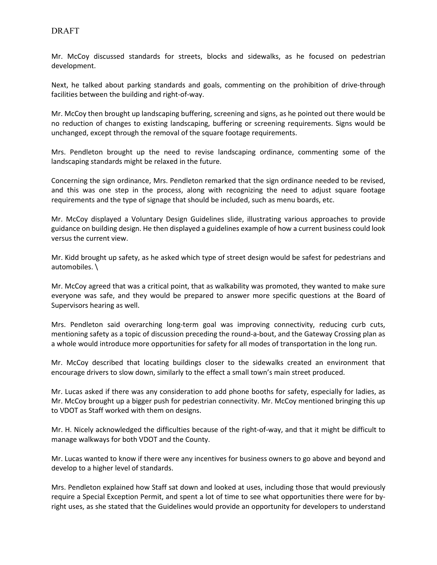Mr. McCoy discussed standards for streets, blocks and sidewalks, as he focused on pedestrian development.

Next, he talked about parking standards and goals, commenting on the prohibition of drive-through facilities between the building and right-of-way.

Mr. McCoy then brought up landscaping buffering, screening and signs, as he pointed out there would be no reduction of changes to existing landscaping, buffering or screening requirements. Signs would be unchanged, except through the removal of the square footage requirements.

Mrs. Pendleton brought up the need to revise landscaping ordinance, commenting some of the landscaping standards might be relaxed in the future.

Concerning the sign ordinance, Mrs. Pendleton remarked that the sign ordinance needed to be revised, and this was one step in the process, along with recognizing the need to adjust square footage requirements and the type of signage that should be included, such as menu boards, etc.

Mr. McCoy displayed a Voluntary Design Guidelines slide, illustrating various approaches to provide guidance on building design. He then displayed a guidelines example of how a current business could look versus the current view.

Mr. Kidd brought up safety, as he asked which type of street design would be safest for pedestrians and automobiles. \

Mr. McCoy agreed that was a critical point, that as walkability was promoted, they wanted to make sure everyone was safe, and they would be prepared to answer more specific questions at the Board of Supervisors hearing as well.

Mrs. Pendleton said overarching long-term goal was improving connectivity, reducing curb cuts, mentioning safety as a topic of discussion preceding the round-a-bout, and the Gateway Crossing plan as a whole would introduce more opportunities for safety for all modes of transportation in the long run.

Mr. McCoy described that locating buildings closer to the sidewalks created an environment that encourage drivers to slow down, similarly to the effect a small town's main street produced.

Mr. Lucas asked if there was any consideration to add phone booths for safety, especially for ladies, as Mr. McCoy brought up a bigger push for pedestrian connectivity. Mr. McCoy mentioned bringing this up to VDOT as Staff worked with them on designs.

Mr. H. Nicely acknowledged the difficulties because of the right-of-way, and that it might be difficult to manage walkways for both VDOT and the County.

Mr. Lucas wanted to know if there were any incentives for business owners to go above and beyond and develop to a higher level of standards.

Mrs. Pendleton explained how Staff sat down and looked at uses, including those that would previously require a Special Exception Permit, and spent a lot of time to see what opportunities there were for byright uses, as she stated that the Guidelines would provide an opportunity for developers to understand